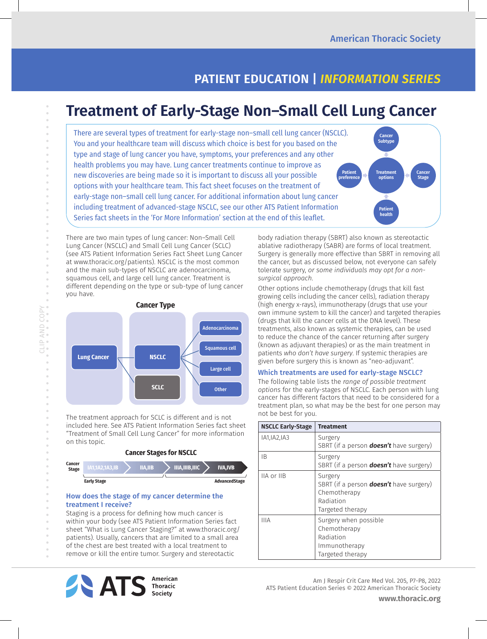**Cancer Subtype**

**Treatment options**

**Patient health**

۸

**Cancer Stage**

## **PATIENT EDUCATION |** *INFORMATION SERIES*

# **Treatment of Early-Stage Non–Small Cell Lung Cancer**

There are several types of treatment for early-stage non–small cell lung cancer (NSCLC). You and your healthcare team will discuss which choice is best for you based on the type and stage of lung cancer you have, symptoms, your preferences and any other health problems you may have. Lung cancer treatments continue to improve as new discoveries are being made so it is important to discuss all your possible options with your healthcare team. This fact sheet focuses on the treatment of early-stage non–small cell lung cancer. For additional information about lung cancer including treatment of advanced-stage NSCLC, see our other ATS Patient Information Series fact sheets in the 'For More Information' section at the end of this leaflet. **Patient preference**

There are two main types of lung cancer: Non–Small Cell Lung Cancer (NSCLC) and Small Cell Lung Cancer (SCLC) (see ATS Patient Information Series Fact Sheet Lung Cancer at www.thoracic.org/patients). NSCLC is the most common and the main sub-types of NSCLC are adenocarcinoma, squamous cell, and large cell lung cancer. Treatment is different depending on the type or sub-type of lung cancer you have.



The treatment approach for SCLC is different and is not included here. See ATS Patient Information Series fact sheet "Treatment of Small Cell Lung Cancer" for more information on this topic.



#### How does the stage of my cancer determine the treatment I receive?

Staging is a process for defining how much cancer is within your body (see ATS Patient Information Series fact sheet "What is Lung Cancer Staging?" at www.thoracic.org/ patients). Usually, cancers that are limited to a small area of the chest are best treated with a local treatment to remove or kill the entire tumor. Surgery and stereotactic



body radiation therapy (SBRT) also known as stereotactic ablative radiotherapy (SABR) are forms of local treatment. Surgery is generally more effective than SBRT in removing all the cancer, but as discussed below, not everyone can safely tolerate surgery, *or some individuals may opt for a nonsurgical approach*.

Other options include chemotherapy (drugs that kill fast growing cells including the cancer cells), radiation therapy (high energy x-rays), immunotherapy (drugs that use your own immune system to kill the cancer) and targeted therapies (drugs that kill the cancer cells at the DNA level). These treatments, also known as systemic therapies, can be used to reduce the chance of the cancer returning after surgery (known as adjuvant therapies) or as the main treatment in patients *who don't have surgery*. If systemic therapies are given before surgery this is known as "neo-adjuvant".

#### Which treatments are used for early-stage NSCLC?

The following table lists the *range of possible treatment options* for the early-stages of NSCLC. Each person with lung cancer has different factors that need to be considered for a treatment plan, so what may be the best for one person may not be best for you.

| <b>NSCLC Early-Stage</b> | <b>Treatment</b>                                                                                           |
|--------------------------|------------------------------------------------------------------------------------------------------------|
| IA1, IA2, IA3            | Surgery<br>SBRT (if a person <b>doesn't</b> have surgery)                                                  |
| ΙB.                      | Surgery<br>SBRT (if a person <b>doesn't</b> have surgery)                                                  |
| IIA or IIB               | Surgery<br>SBRT (if a person <b>doesn't</b> have surgery)<br>Chemotherapy<br>Radiation<br>Targeted therapy |
| <b>IIIA</b>              | Surgery when possible<br>Chemotherapy<br>Radiation<br>Immunotherapy<br>Targeted therapy                    |

Am J Respir Crit Care Med Vol. 205, P7-P8, 2022 ATS Patient Education Series © 2022 American Thoracic Society

 $\ddot{\phantom{a}}$ 

 $\bar{\phantom{a}}$  $\bar{\phantom{a}}$ 

**www.thoracic.org**